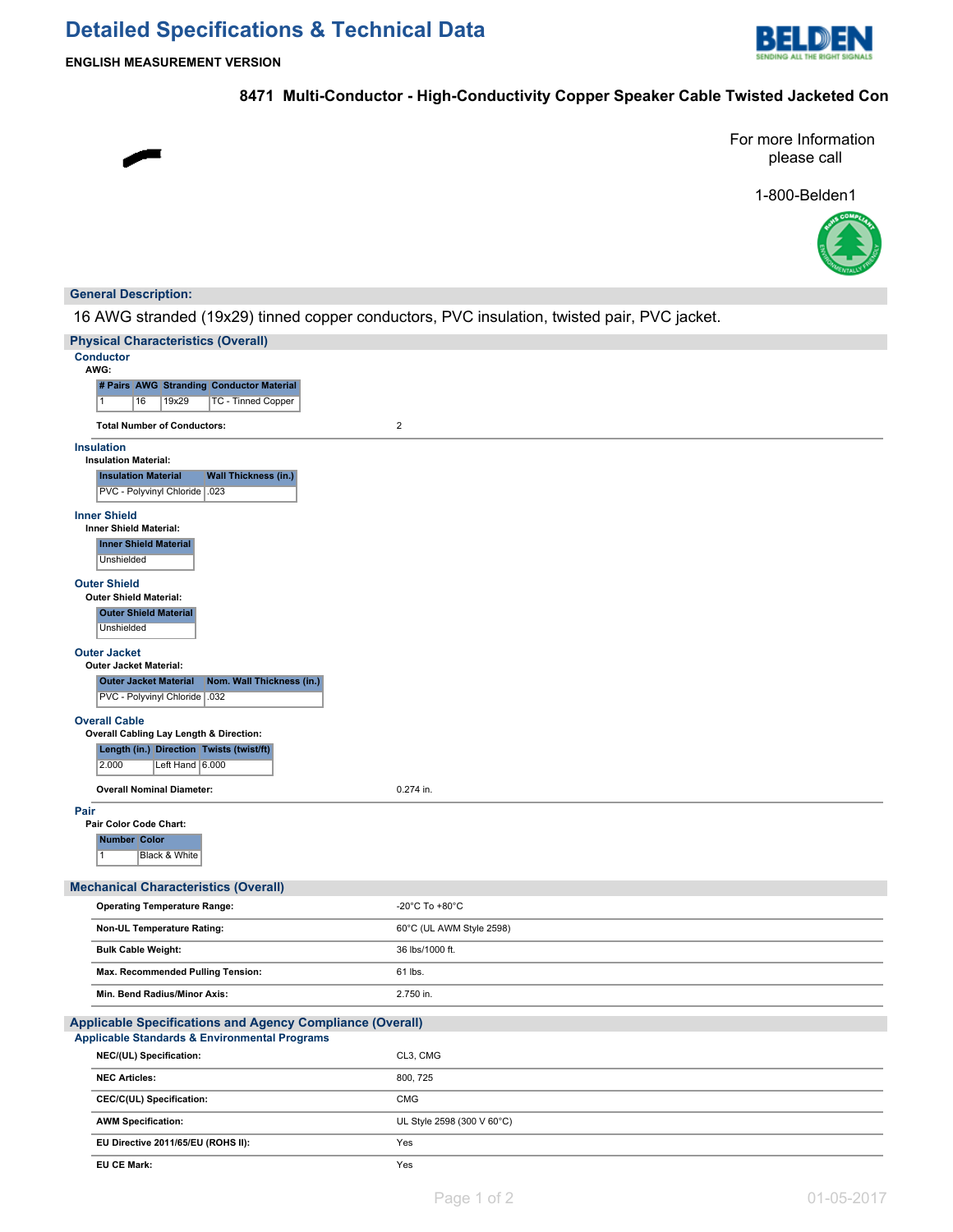# **Detailed Specifications & Technical Data**



**ENGLISH MEASUREMENT VERSION**

## **8471 Multi-Conductor - High-Conductivity Copper Speaker Cable Twisted Jacketed Con**

For more Information please call

1-800-Belden1



### **General Description:**

16 AWG stranded (19x29) tinned copper conductors, PVC insulation, twisted pair, PVC jacket.

| <b>Physical Characteristics (Overall)</b>                                                |                            |  |  |  |
|------------------------------------------------------------------------------------------|----------------------------|--|--|--|
| <b>Conductor</b>                                                                         |                            |  |  |  |
| AWG:<br># Pairs AWG Stranding Conductor Material                                         |                            |  |  |  |
| <b>TC - Tinned Copper</b><br>16<br>19x29<br>$\mathbf{1}$                                 |                            |  |  |  |
| <b>Total Number of Conductors:</b>                                                       | $\overline{2}$             |  |  |  |
| <b>Insulation</b>                                                                        |                            |  |  |  |
| <b>Insulation Material:</b><br><b>Insulation Material</b><br><b>Wall Thickness (in.)</b> |                            |  |  |  |
| PVC - Polyvinyl Chloride   .023                                                          |                            |  |  |  |
| <b>Inner Shield</b>                                                                      |                            |  |  |  |
| <b>Inner Shield Material:</b>                                                            |                            |  |  |  |
| <b>Inner Shield Material</b><br>Unshielded                                               |                            |  |  |  |
| <b>Outer Shield</b>                                                                      |                            |  |  |  |
| <b>Outer Shield Material:</b>                                                            |                            |  |  |  |
| <b>Outer Shield Material</b><br>Unshielded                                               |                            |  |  |  |
| <b>Outer Jacket</b>                                                                      |                            |  |  |  |
| <b>Outer Jacket Material:</b>                                                            |                            |  |  |  |
| <b>Outer Jacket Material</b><br>Nom. Wall Thickness (in.)                                |                            |  |  |  |
| PVC - Polyvinyl Chloride   .032                                                          |                            |  |  |  |
| <b>Overall Cable</b><br>Overall Cabling Lay Length & Direction:                          |                            |  |  |  |
| Length (in.) Direction Twists (twist/ft)                                                 |                            |  |  |  |
| 2.000<br>Left Hand 6.000                                                                 |                            |  |  |  |
| <b>Overall Nominal Diameter:</b>                                                         | 0.274 in.                  |  |  |  |
| Pair                                                                                     |                            |  |  |  |
| Pair Color Code Chart:                                                                   |                            |  |  |  |
| <b>Number Color</b><br>Black & White<br>1                                                |                            |  |  |  |
|                                                                                          |                            |  |  |  |
| <b>Mechanical Characteristics (Overall)</b>                                              |                            |  |  |  |
| <b>Operating Temperature Range:</b>                                                      | -20°C To +80°C             |  |  |  |
| Non-UL Temperature Rating:                                                               | 60°C (UL AWM Style 2598)   |  |  |  |
| <b>Bulk Cable Weight:</b>                                                                | 36 lbs/1000 ft.            |  |  |  |
| Max. Recommended Pulling Tension:                                                        | 61 lbs.                    |  |  |  |
| Min. Bend Radius/Minor Axis:                                                             | 2.750 in.                  |  |  |  |
| <b>Applicable Specifications and Agency Compliance (Overall)</b>                         |                            |  |  |  |
| <b>Applicable Standards &amp; Environmental Programs</b>                                 |                            |  |  |  |
| NEC/(UL) Specification:                                                                  | CL3, CMG                   |  |  |  |
| <b>NEC Articles:</b>                                                                     | 800, 725                   |  |  |  |
| CEC/C(UL) Specification:                                                                 | <b>CMG</b>                 |  |  |  |
| <b>AWM Specification:</b>                                                                | UL Style 2598 (300 V 60°C) |  |  |  |
| EU Directive 2011/65/EU (ROHS II):                                                       | Yes                        |  |  |  |
| <b>EU CE Mark:</b>                                                                       | Yes                        |  |  |  |